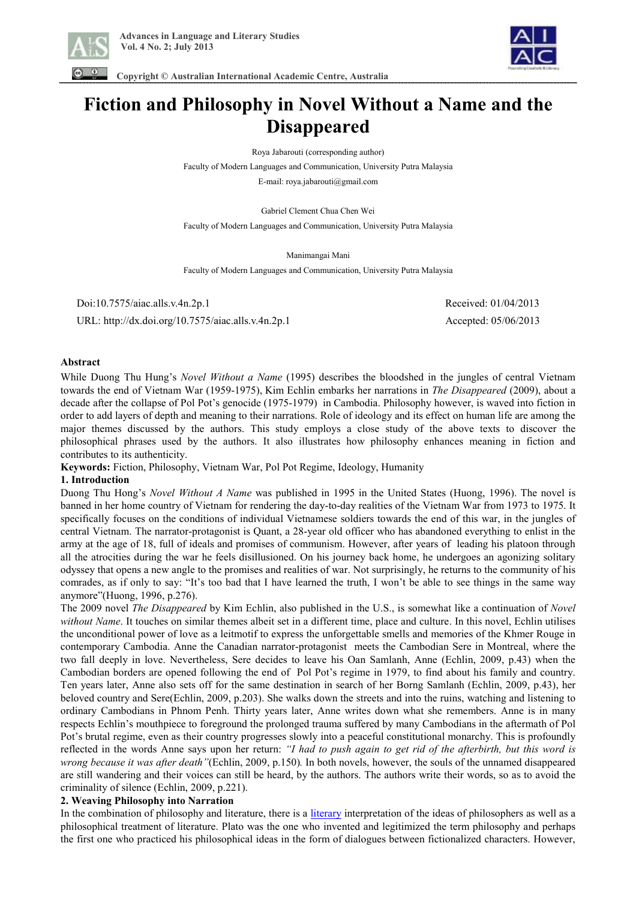



 **Copyright © Australian International Academic Centre, Australia** 

# **Fiction and Philosophy in Novel Without a Name and the Disappeared**

Roya Jabarouti (corresponding author)

Faculty of Modern Languages and Communication, University Putra Malaysia

E-mail: roya.jabarouti@gmail.com

Gabriel Clement Chua Chen Wei Faculty of Modern Languages and Communication, University Putra Malaysia

Manimangai Mani

Faculty of Modern Languages and Communication, University Putra Malaysia

 Doi:10.7575/aiac.alls.v.4n.2p.1 Received: 01/04/2013 URL: http://dx.doi.org/10.7575/aiac.alls.v.4n.2p.1 Accepted: 05/06/2013

## **Abstract**

While Duong Thu Hung's *Novel Without a Name* (1995) describes the bloodshed in the jungles of central Vietnam towards the end of Vietnam War (1959-1975), Kim Echlin embarks her narrations in *The Disappeared* (2009), about a decade after the collapse of Pol Pot's genocide (1975-1979) in Cambodia. Philosophy however, is waved into fiction in order to add layers of depth and meaning to their narrations. Role of ideology and its effect on human life are among the major themes discussed by the authors. This study employs a close study of the above texts to discover the philosophical phrases used by the authors. It also illustrates how philosophy enhances meaning in fiction and contributes to its authenticity.

**Keywords:** Fiction, Philosophy, Vietnam War, Pol Pot Regime, Ideology, Humanity

## **1. Introduction**

Duong Thu Hong's *Novel Without A Name* was published in 1995 in the United States (Huong, 1996). The novel is banned in her home country of Vietnam for rendering the day-to-day realities of the Vietnam War from 1973 to 1975. It specifically focuses on the conditions of individual Vietnamese soldiers towards the end of this war, in the jungles of central Vietnam. The narrator-protagonist is Quant, a 28-year old officer who has abandoned everything to enlist in the army at the age of 18, full of ideals and promises of communism. However, after years of leading his platoon through all the atrocities during the war he feels disillusioned. On his journey back home, he undergoes an agonizing solitary odyssey that opens a new angle to the promises and realities of war. Not surprisingly, he returns to the community of his comrades, as if only to say: "It's too bad that I have learned the truth, I won't be able to see things in the same way anymore"(Huong, 1996, p.276).

The 2009 novel *The Disappeared* by Kim Echlin, also published in the U.S., is somewhat like a continuation of *Novel without Name*. It touches on similar themes albeit set in a different time, place and culture. In this novel, Echlin utilises the unconditional power of love as a leitmotif to express the unforgettable smells and memories of the Khmer Rouge in contemporary Cambodia. Anne the Canadian narrator-protagonist meets the Cambodian Sere in Montreal, where the two fall deeply in love. Nevertheless, Sere decides to leave his Oan Samlanh, Anne (Echlin, 2009, p.43) when the Cambodian borders are opened following the end of Pol Pot's regime in 1979, to find about his family and country. Ten years later, Anne also sets off for the same destination in search of her Borng Samlanh (Echlin, 2009, p.43), her beloved country and Sere(Echlin, 2009, p.203). She walks down the streets and into the ruins, watching and listening to ordinary Cambodians in Phnom Penh. Thirty years later, Anne writes down what she remembers. Anne is in many respects Echlin's mouthpiece to foreground the prolonged trauma suffered by many Cambodians in the aftermath of Pol Pot's brutal regime, even as their country progresses slowly into a peaceful constitutional monarchy. This is profoundly reflected in the words Anne says upon her return: *"I had to push again to get rid of the afterbirth, but this word is wrong because it was after death"*(Echlin, 2009, p.150)*.* In both novels, however, the souls of the unnamed disappeared are still wandering and their voices can still be heard, by the authors. The authors write their words, so as to avoid the criminality of silence (Echlin, 2009, p.221).

## **2. Weaving Philosophy into Narration**

In the combination of philosophy and literature, there is a literary interpretation of the ideas of philosophers as well as a philosophical treatment of literature. Plato was the one who invented and legitimized the term philosophy and perhaps the first one who practiced his philosophical ideas in the form of dialogues between fictionalized characters. However,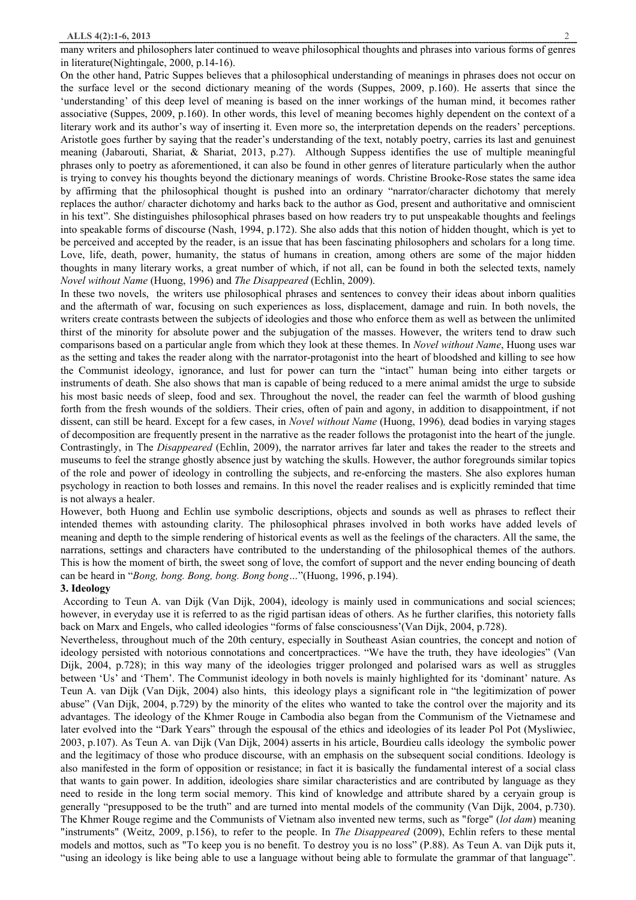many writers and philosophers later continued to weave philosophical thoughts and phrases into various forms of genres in literature(Nightingale, 2000, p.14-16).

On the other hand, Patric Suppes believes that a philosophical understanding of meanings in phrases does not occur on the surface level or the second dictionary meaning of the words (Suppes, 2009, p.160). He asserts that since the 'understanding' of this deep level of meaning is based on the inner workings of the human mind, it becomes rather associative (Suppes, 2009, p.160). In other words, this level of meaning becomes highly dependent on the context of a literary work and its author's way of inserting it. Even more so, the interpretation depends on the readers' perceptions. Aristotle goes further by saying that the reader's understanding of the text, notably poetry, carries its last and genuinest meaning (Jabarouti, Shariat, & Shariat, 2013, p.27). Although Suppess identifies the use of multiple meaningful phrases only to poetry as aforementioned, it can also be found in other genres of literature particularly when the author is trying to convey his thoughts beyond the dictionary meanings of words. Christine Brooke-Rose states the same idea by affirming that the philosophical thought is pushed into an ordinary "narrator/character dichotomy that merely replaces the author/ character dichotomy and harks back to the author as God, present and authoritative and omniscient in his text". She distinguishes philosophical phrases based on how readers try to put unspeakable thoughts and feelings into speakable forms of discourse (Nash, 1994, p.172). She also adds that this notion of hidden thought, which is yet to be perceived and accepted by the reader, is an issue that has been fascinating philosophers and scholars for a long time. Love, life, death, power, humanity, the status of humans in creation, among others are some of the major hidden thoughts in many literary works, a great number of which, if not all, can be found in both the selected texts, namely *Novel without Name* (Huong, 1996) and *The Disappeared* (Echlin, 2009).

In these two novels, the writers use philosophical phrases and sentences to convey their ideas about inborn qualities and the aftermath of war, focusing on such experiences as loss, displacement, damage and ruin. In both novels, the writers create contrasts between the subjects of ideologies and those who enforce them as well as between the unlimited thirst of the minority for absolute power and the subjugation of the masses. However, the writers tend to draw such comparisons based on a particular angle from which they look at these themes. In *Novel without Name*, Huong uses war as the setting and takes the reader along with the narrator-protagonist into the heart of bloodshed and killing to see how the Communist ideology, ignorance, and lust for power can turn the "intact" human being into either targets or instruments of death. She also shows that man is capable of being reduced to a mere animal amidst the urge to subside his most basic needs of sleep, food and sex. Throughout the novel, the reader can feel the warmth of blood gushing forth from the fresh wounds of the soldiers. Their cries, often of pain and agony, in addition to disappointment, if not dissent, can still be heard. Except for a few cases, in *Novel without Name* (Huong, 1996)*,* dead bodies in varying stages of decomposition are frequently present in the narrative as the reader follows the protagonist into the heart of the jungle. Contrastingly, in The *Disappeared* (Echlin, 2009), the narrator arrives far later and takes the reader to the streets and museums to feel the strange ghostly absence just by watching the skulls. However, the author foregrounds similar topics of the role and power of ideology in controlling the subjects, and re-enforcing the masters. She also explores human psychology in reaction to both losses and remains. In this novel the reader realises and is explicitly reminded that time is not always a healer.

However, both Huong and Echlin use symbolic descriptions, objects and sounds as well as phrases to reflect their intended themes with astounding clarity. The philosophical phrases involved in both works have added levels of meaning and depth to the simple rendering of historical events as well as the feelings of the characters. All the same, the narrations, settings and characters have contributed to the understanding of the philosophical themes of the authors. This is how the moment of birth, the sweet song of love, the comfort of support and the never ending bouncing of death can be heard in "*Bong, bong. Bong, bong. Bong bong…*"(Huong, 1996, p.194).

#### **3. Ideology**

According to Teun A. van Dijk (Van Dijk, 2004), ideology is mainly used in communications and social sciences; however, in everyday use it is referred to as the rigid partisan ideas of others. As he further clarifies, this notoriety falls back on Marx and Engels, who called ideologies "forms of false consciousness'(Van Dijk, 2004, p.728).

Nevertheless, throughout much of the 20th century, especially in Southeast Asian countries, the concept and notion of ideology persisted with notorious connotations and concertpractices. "We have the truth, they have ideologies" (Van Dijk, 2004, p.728); in this way many of the ideologies trigger prolonged and polarised wars as well as struggles between 'Us' and 'Them'. The Communist ideology in both novels is mainly highlighted for its 'dominant' nature. As Teun A. van Dijk (Van Dijk, 2004) also hints, this ideology plays a significant role in "the legitimization of power abuse" (Van Dijk, 2004, p.729) by the minority of the elites who wanted to take the control over the majority and its advantages. The ideology of the Khmer Rouge in Cambodia also began from the Communism of the Vietnamese and later evolved into the "Dark Years" through the espousal of the ethics and ideologies of its leader Pol Pot (Mysliwiec, 2003, p.107). As Teun A. van Dijk (Van Dijk, 2004) asserts in his article, Bourdieu calls ideology the symbolic power and the legitimacy of those who produce discourse, with an emphasis on the subsequent social conditions. Ideology is also manifested in the form of opposition or resistance; in fact it is basically the fundamental interest of a social class that wants to gain power. In addition, ideologies share similar characteristics and are contributed by language as they need to reside in the long term social memory. This kind of knowledge and attribute shared by a ceryain group is generally "presupposed to be the truth" and are turned into mental models of the community (Van Dijk, 2004, p.730). The Khmer Rouge regime and the Communists of Vietnam also invented new terms, such as "forge" (*lot dam*) meaning "instruments" (Weitz, 2009, p.156), to refer to the people. In *The Disappeared* (2009), Echlin refers to these mental models and mottos, such as "To keep you is no benefit. To destroy you is no loss" (P.88). As Teun A. van Dijk puts it, "using an ideology is like being able to use a language without being able to formulate the grammar of that language".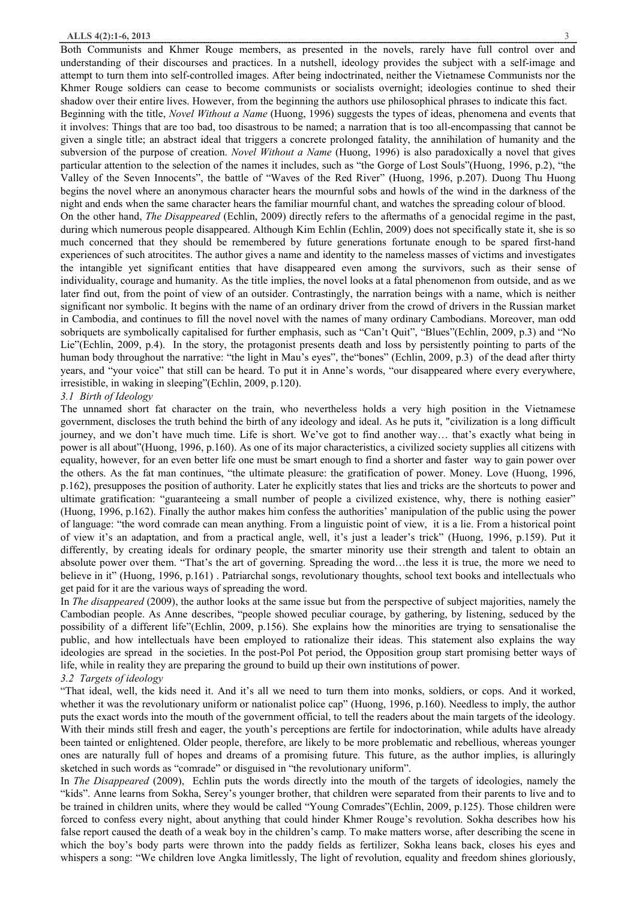Both Communists and Khmer Rouge members, as presented in the novels, rarely have full control over and understanding of their discourses and practices. In a nutshell, ideology provides the subject with a self-image and attempt to turn them into self-controlled images. After being indoctrinated, neither the Vietnamese Communists nor the Khmer Rouge soldiers can cease to become communists or socialists overnight; ideologies continue to shed their shadow over their entire lives. However, from the beginning the authors use philosophical phrases to indicate this fact.

Beginning with the title, *Novel Without a Name* (Huong, 1996) suggests the types of ideas, phenomena and events that it involves: Things that are too bad, too disastrous to be named; a narration that is too all-encompassing that cannot be given a single title; an abstract ideal that triggers a concrete prolonged fatality, the annihilation of humanity and the subversion of the purpose of creation. *Novel Without a Name* (Huong, 1996) is also paradoxically a novel that gives particular attention to the selection of the names it includes, such as "the Gorge of Lost Souls"(Huong, 1996, p.2), "the Valley of the Seven Innocents", the battle of "Waves of the Red River" (Huong, 1996, p.207). Duong Thu Huong begins the novel where an anonymous character hears the mournful sobs and howls of the wind in the darkness of the night and ends when the same character hears the familiar mournful chant, and watches the spreading colour of blood.

On the other hand, *The Disappeared* (Echlin, 2009) directly refers to the aftermaths of a genocidal regime in the past, during which numerous people disappeared. Although Kim Echlin (Echlin, 2009) does not specifically state it, she is so much concerned that they should be remembered by future generations fortunate enough to be spared first-hand experiences of such atrocitites. The author gives a name and identity to the nameless masses of victims and investigates the intangible yet significant entities that have disappeared even among the survivors, such as their sense of individuality, courage and humanity. As the title implies, the novel looks at a fatal phenomenon from outside, and as we later find out, from the point of view of an outsider. Contrastingly, the narration beings with a name, which is neither significant nor symbolic. It begins with the name of an ordinary driver from the crowd of drivers in the Russian market in Cambodia, and continues to fill the novel novel with the names of many ordinary Cambodians. Moreover, man odd sobriquets are symbolically capitalised for further emphasis, such as "Can't Quit", "Blues"(Echlin, 2009, p.3) and "No Lie"(Echlin, 2009, p.4). In the story, the protagonist presents death and loss by persistently pointing to parts of the human body throughout the narrative: "the light in Mau's eyes", the "bones" (Echlin, 2009, p.3) of the dead after thirty years, and "your voice" that still can be heard. To put it in Anne's words, "our disappeared where every everywhere, irresistible, in waking in sleeping"(Echlin, 2009, p.120).

#### *3.1 Birth of Ideology*

The unnamed short fat character on the train, who nevertheless holds a very high position in the Vietnamese government, discloses the truth behind the birth of any ideology and ideal. As he puts it, "civilization is a long difficult journey, and we don't have much time. Life is short. We've got to find another way… that's exactly what being in power is all about"(Huong, 1996, p.160). As one of its major characteristics, a civilized society supplies all citizens with equality, however, for an even better life one must be smart enough to find a shorter and faster way to gain power over the others. As the fat man continues, "the ultimate pleasure: the gratification of power. Money. Love (Huong, 1996, p.162), presupposes the position of authority. Later he explicitly states that lies and tricks are the shortcuts to power and ultimate gratification: "guaranteeing a small number of people a civilized existence, why, there is nothing easier" (Huong, 1996, p.162). Finally the author makes him confess the authorities' manipulation of the public using the power of language: "the word comrade can mean anything. From a linguistic point of view, it is a lie. From a historical point of view it's an adaptation, and from a practical angle, well, it's just a leader's trick" (Huong, 1996, p.159). Put it differently, by creating ideals for ordinary people, the smarter minority use their strength and talent to obtain an absolute power over them. "That's the art of governing. Spreading the word…the less it is true, the more we need to believe in it" (Huong, 1996, p.161) . Patriarchal songs, revolutionary thoughts, school text books and intellectuals who get paid for it are the various ways of spreading the word.

In *The disappeared* (2009), the author looks at the same issue but from the perspective of subject majorities, namely the Cambodian people. As Anne describes, "people showed peculiar courage, by gathering, by listening, seduced by the possibility of a different life"(Echlin, 2009, p.156). She explains how the minorities are trying to sensationalise the public, and how intellectuals have been employed to rationalize their ideas. This statement also explains the way ideologies are spread in the societies. In the post-Pol Pot period, the Opposition group start promising better ways of life, while in reality they are preparing the ground to build up their own institutions of power.

# *3.2 Targets of ideology*

"That ideal, well, the kids need it. And it's all we need to turn them into monks, soldiers, or cops. And it worked, whether it was the revolutionary uniform or nationalist police cap" (Huong, 1996, p.160). Needless to imply, the author puts the exact words into the mouth of the government official, to tell the readers about the main targets of the ideology. With their minds still fresh and eager, the youth's perceptions are fertile for indoctorination, while adults have already been tainted or enlightened. Older people, therefore, are likely to be more problematic and rebellious, whereas younger ones are naturally full of hopes and dreams of a promising future. This future, as the author implies, is alluringly sketched in such words as "comrade" or disguised in "the revolutionary uniform".

In *The Disappeared* (2009), Echlin puts the words directly into the mouth of the targets of ideologies, namely the "kids". Anne learns from Sokha, Serey's younger brother, that children were separated from their parents to live and to be trained in children units, where they would be called "Young Comrades"(Echlin, 2009, p.125). Those children were forced to confess every night, about anything that could hinder Khmer Rouge's revolution. Sokha describes how his false report caused the death of a weak boy in the children's camp. To make matters worse, after describing the scene in which the boy's body parts were thrown into the paddy fields as fertilizer, Sokha leans back, closes his eyes and whispers a song: "We children love Angka limitlessly, The light of revolution, equality and freedom shines gloriously,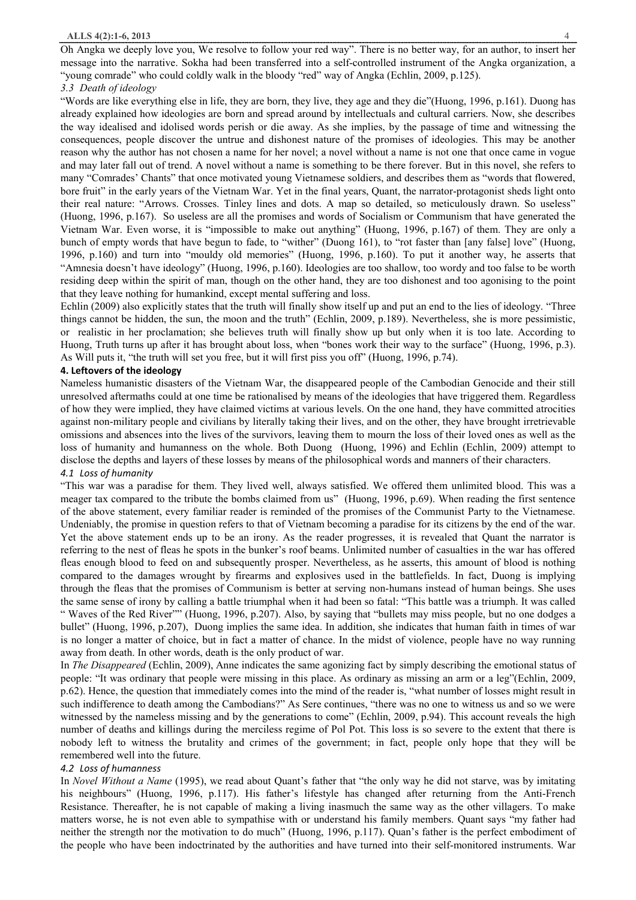Oh Angka we deeply love you, We resolve to follow your red way". There is no better way, for an author, to insert her message into the narrative. Sokha had been transferred into a self-controlled instrument of the Angka organization, a "young comrade" who could coldly walk in the bloody "red" way of Angka (Echlin, 2009, p.125).

## *3.3 Death of ideology*

"Words are like everything else in life, they are born, they live, they age and they die"(Huong, 1996, p.161). Duong has already explained how ideologies are born and spread around by intellectuals and cultural carriers. Now, she describes the way idealised and idolised words perish or die away. As she implies, by the passage of time and witnessing the consequences, people discover the untrue and dishonest nature of the promises of ideologies. This may be another reason why the author has not chosen a name for her novel; a novel without a name is not one that once came in vogue and may later fall out of trend. A novel without a name is something to be there forever. But in this novel, she refers to many "Comrades' Chants" that once motivated young Vietnamese soldiers, and describes them as "words that flowered, bore fruit" in the early years of the Vietnam War. Yet in the final years, Quant, the narrator-protagonist sheds light onto their real nature: "Arrows. Crosses. Tinley lines and dots. A map so detailed, so meticulously drawn. So useless" (Huong, 1996, p.167). So useless are all the promises and words of Socialism or Communism that have generated the Vietnam War. Even worse, it is "impossible to make out anything" (Huong, 1996, p.167) of them. They are only a bunch of empty words that have begun to fade, to "wither" (Duong 161), to "rot faster than [any false] love" (Huong, 1996, p.160) and turn into "mouldy old memories" (Huong, 1996, p.160). To put it another way, he asserts that "Amnesia doesn't have ideology" (Huong, 1996, p.160). Ideologies are too shallow, too wordy and too false to be worth residing deep within the spirit of man, though on the other hand, they are too dishonest and too agonising to the point that they leave nothing for humankind, except mental suffering and loss.

Echlin (2009) also explicitly states that the truth will finally show itself up and put an end to the lies of ideology. "Three things cannot be hidden, the sun, the moon and the truth" (Echlin, 2009, p.189). Nevertheless, she is more pessimistic, or realistic in her proclamation; she believes truth will finally show up but only when it is too late. According to Huong, Truth turns up after it has brought about loss, when "bones work their way to the surface" (Huong, 1996, p.3). As Will puts it, "the truth will set you free, but it will first piss you off" (Huong, 1996, p.74).

## **4. Leftovers of the ideology**

Nameless humanistic disasters of the Vietnam War, the disappeared people of the Cambodian Genocide and their still unresolved aftermaths could at one time be rationalised by means of the ideologies that have triggered them. Regardless of how they were implied, they have claimed victims at various levels. On the one hand, they have committed atrocities against non-military people and civilians by literally taking their lives, and on the other, they have brought irretrievable omissions and absences into the lives of the survivors, leaving them to mourn the loss of their loved ones as well as the loss of humanity and humanness on the whole. Both Duong (Huong, 1996) and Echlin (Echlin, 2009) attempt to disclose the depths and layers of these losses by means of the philosophical words and manners of their characters. *4.1 Loss of humanity* 

"This war was a paradise for them. They lived well, always satisfied. We offered them unlimited blood. This was a meager tax compared to the tribute the bombs claimed from us" (Huong, 1996, p.69). When reading the first sentence of the above statement, every familiar reader is reminded of the promises of the Communist Party to the Vietnamese. Undeniably, the promise in question refers to that of Vietnam becoming a paradise for its citizens by the end of the war. Yet the above statement ends up to be an irony. As the reader progresses, it is revealed that Quant the narrator is referring to the nest of fleas he spots in the bunker's roof beams. Unlimited number of casualties in the war has offered fleas enough blood to feed on and subsequently prosper. Nevertheless, as he asserts, this amount of blood is nothing compared to the damages wrought by firearms and explosives used in the battlefields. In fact, Duong is implying through the fleas that the promises of Communism is better at serving non-humans instead of human beings. She uses the same sense of irony by calling a battle triumphal when it had been so fatal: "This battle was a triumph. It was called " Waves of the Red River"" (Huong, 1996, p.207). Also, by saying that "bullets may miss people, but no one dodges a bullet" (Huong, 1996, p.207), Duong implies the same idea. In addition, she indicates that human faith in times of war is no longer a matter of choice, but in fact a matter of chance. In the midst of violence, people have no way running away from death. In other words, death is the only product of war.

In *The Disappeared* (Echlin, 2009), Anne indicates the same agonizing fact by simply describing the emotional status of people: "It was ordinary that people were missing in this place. As ordinary as missing an arm or a leg"(Echlin, 2009, p.62). Hence, the question that immediately comes into the mind of the reader is, "what number of losses might result in such indifference to death among the Cambodians?" As Sere continues, "there was no one to witness us and so we were witnessed by the nameless missing and by the generations to come" (Echlin, 2009, p.94). This account reveals the high number of deaths and killings during the merciless regime of Pol Pot. This loss is so severe to the extent that there is nobody left to witness the brutality and crimes of the government; in fact, people only hope that they will be remembered well into the future.

## *4.2 Loss of humanness*

In *Novel Without a Name* (1995), we read about Quant's father that "the only way he did not starve, was by imitating his neighbours" (Huong, 1996, p.117). His father's lifestyle has changed after returning from the Anti-French Resistance. Thereafter, he is not capable of making a living inasmuch the same way as the other villagers. To make matters worse, he is not even able to sympathise with or understand his family members. Quant says "my father had neither the strength nor the motivation to do much" (Huong, 1996, p.117). Quan's father is the perfect embodiment of the people who have been indoctrinated by the authorities and have turned into their self-monitored instruments. War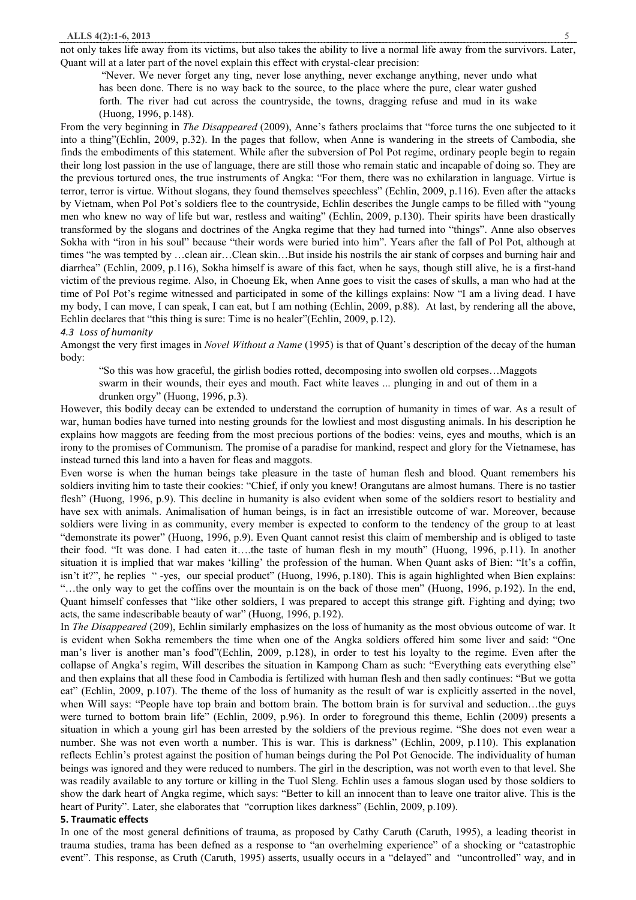#### **ALLS 4(2):1-6, 2013** 5

not only takes life away from its victims, but also takes the ability to live a normal life away from the survivors. Later, Quant will at a later part of the novel explain this effect with crystal-clear precision:

"Never. We never forget any ting, never lose anything, never exchange anything, never undo what has been done. There is no way back to the source, to the place where the pure, clear water gushed forth. The river had cut across the countryside, the towns, dragging refuse and mud in its wake (Huong, 1996, p.148).

From the very beginning in *The Disappeared* (2009), Anne's fathers proclaims that "force turns the one subjected to it into a thing"(Echlin, 2009, p.32). In the pages that follow, when Anne is wandering in the streets of Cambodia, she finds the embodiments of this statement. While after the subversion of Pol Pot regime, ordinary people begin to regain their long lost passion in the use of language, there are still those who remain static and incapable of doing so. They are the previous tortured ones, the true instruments of Angka: "For them, there was no exhilaration in language. Virtue is terror, terror is virtue. Without slogans, they found themselves speechless" (Echlin, 2009, p.116). Even after the attacks by Vietnam, when Pol Pot's soldiers flee to the countryside, Echlin describes the Jungle camps to be filled with "young men who knew no way of life but war, restless and waiting" (Echlin, 2009, p.130). Their spirits have been drastically transformed by the slogans and doctrines of the Angka regime that they had turned into "things". Anne also observes Sokha with "iron in his soul" because "their words were buried into him". Years after the fall of Pol Pot, although at times "he was tempted by …clean air…Clean skin…But inside his nostrils the air stank of corpses and burning hair and diarrhea" (Echlin, 2009, p.116), Sokha himself is aware of this fact, when he says, though still alive, he is a first-hand victim of the previous regime. Also, in Choeung Ek, when Anne goes to visit the cases of skulls, a man who had at the time of Pol Pot's regime witnessed and participated in some of the killings explains: Now "I am a living dead. I have my body, I can move, I can speak, I can eat, but I am nothing (Echlin, 2009, p.88). At last, by rendering all the above, Echlin declares that "this thing is sure: Time is no healer"(Echlin, 2009, p.12).

#### *4.3 Loss of humanity*

Amongst the very first images in *Novel Without a Name* (1995) is that of Quant's description of the decay of the human body:

"So this was how graceful, the girlish bodies rotted, decomposing into swollen old corpses…Maggots swarm in their wounds, their eyes and mouth. Fact white leaves ... plunging in and out of them in a drunken orgy" (Huong, 1996, p.3).

However, this bodily decay can be extended to understand the corruption of humanity in times of war. As a result of war, human bodies have turned into nesting grounds for the lowliest and most disgusting animals. In his description he explains how maggots are feeding from the most precious portions of the bodies: veins, eyes and mouths, which is an irony to the promises of Communism. The promise of a paradise for mankind, respect and glory for the Vietnamese, has instead turned this land into a haven for fleas and maggots.

Even worse is when the human beings take pleasure in the taste of human flesh and blood. Quant remembers his soldiers inviting him to taste their cookies: "Chief, if only you knew! Orangutans are almost humans. There is no tastier flesh" (Huong, 1996, p.9). This decline in humanity is also evident when some of the soldiers resort to bestiality and have sex with animals. Animalisation of human beings, is in fact an irresistible outcome of war. Moreover, because soldiers were living in as community, every member is expected to conform to the tendency of the group to at least "demonstrate its power" (Huong, 1996, p.9). Even Quant cannot resist this claim of membership and is obliged to taste their food. "It was done. I had eaten it….the taste of human flesh in my mouth" (Huong, 1996, p.11). In another situation it is implied that war makes 'killing' the profession of the human. When Quant asks of Bien: "It's a coffin, isn't it?", he replies " -yes, our special product" (Huong, 1996, p.180). This is again highlighted when Bien explains: "…the only way to get the coffins over the mountain is on the back of those men" (Huong, 1996, p.192). In the end, Quant himself confesses that "like other soldiers, I was prepared to accept this strange gift. Fighting and dying; two acts, the same indescribable beauty of war" (Huong, 1996, p.192).

In *The Disappeared* (209), Echlin similarly emphasizes on the loss of humanity as the most obvious outcome of war. It is evident when Sokha remembers the time when one of the Angka soldiers offered him some liver and said: "One man's liver is another man's food"(Echlin, 2009, p.128), in order to test his loyalty to the regime. Even after the collapse of Angka's regim, Will describes the situation in Kampong Cham as such: "Everything eats everything else" and then explains that all these food in Cambodia is fertilized with human flesh and then sadly continues: "But we gotta eat" (Echlin, 2009, p.107). The theme of the loss of humanity as the result of war is explicitly asserted in the novel, when Will says: "People have top brain and bottom brain. The bottom brain is for survival and seduction...the guys were turned to bottom brain life" (Echlin, 2009, p.96). In order to foreground this theme, Echlin (2009) presents a situation in which a young girl has been arrested by the soldiers of the previous regime. "She does not even wear a number. She was not even worth a number. This is war. This is darkness" (Echlin, 2009, p.110). This explanation reflects Echlin's protest against the position of human beings during the Pol Pot Genocide. The individuality of human beings was ignored and they were reduced to numbers. The girl in the description, was not worth even to that level. She was readily available to any torture or killing in the Tuol Sleng. Echlin uses a famous slogan used by those soldiers to show the dark heart of Angka regime, which says: "Better to kill an innocent than to leave one traitor alive. This is the heart of Purity". Later, she elaborates that "corruption likes darkness" (Echlin, 2009, p.109).

#### **5. Traumatic effects**

In one of the most general definitions of trauma, as proposed by Cathy Caruth (Caruth, 1995), a leading theorist in trauma studies, trama has been defned as a response to "an overhelming experience" of a shocking or "catastrophic event". This response, as Cruth (Caruth, 1995) asserts, usually occurs in a "delayed" and "uncontrolled" way, and in